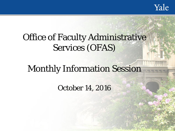Yale

# Office of Faculty Administrative Services (OFAS)

# Monthly Information Session

October 14, 2016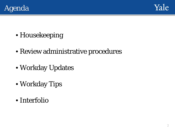



- Housekeeping
- Review administrative procedures
- Workday Updates
- Workday Tips
- Interfolio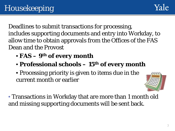Deadlines to submit transactions for processing, includes supporting documents and entry into Workday, to allow time to obtain approvals from the Offices of the FAS Dean and the Provost

- **FAS – 9th of every month**
- **Professional schools – 15th of every month**
- Processing priority is given to items due in the current month or earlier



• Transactions in Workday that are more than 1 month old and missing supporting documents will be sent back.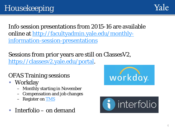Info session presentations from 2015-16 are available [online at http://facultyadmin.yale.edu/monthly](http://facultyadmin.yale.edu/monthly-information-session-presentations)information-session-presentations

Sessions from prior years are still on ClassesV2, <https://classesv2.yale.edu/portal>.

### OFAS Training sessions

- Workday
	- Monthly starting in November
	- Compensation and job changes
	- Register on **TMS**
- Interfolio on demand



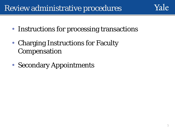# Review administrative procedures

- Instructions for processing transactions
- Charging Instructions for Faculty Compensation
- Secondary Appointments

Yale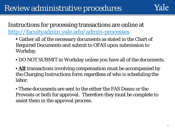#### Instructions for processing transactions are online at <http://facultyadmin.yale.edu/admin-processes>

- Gather all of the necessary documents as stated in the Chart of Required Documents and submit to OFAS upon submission to Workday.
- DO NOT SUBMIT in Workday unless you have all of the documents.
- **All** transactions involving compensation must be accompanied by the Charging Instructions form regardless of who is scheduling the labor.
- These documents are sent to the either the FAS Deans or the Provosts or both for approval. Therefore they must be complete to assist them in the approval process.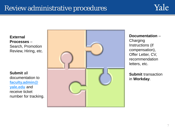### Review administrative procedures



**External Processes** – Search, Promotion Review, Hiring, etc.

**Submit** all documentation to **[faculty.admin@](mailto:faculty.admin@yale.edu) yale.edu** and receive ticket number for tracking.



**Documentation** – **Charging** Instructions (if compensation), Offer Letter, CV, recommendation letters, etc.

**Submit** transaction in **Workday**.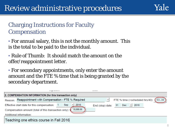#### Charging Instructions for Faculty **Compensation**

• For annual salary, this is not the monthly amount. This is the total to be paid to the individual.

- Rule of Thumb: It should match the amount on the offer/reappointment letter.
- For secondary appointments, only enter the amount amount and the FTE % time that is being granted by the secondary department.

|                                                         | <b>Service Construction</b>                                           |                                                                       |  |  |  |  |  |
|---------------------------------------------------------|-----------------------------------------------------------------------|-----------------------------------------------------------------------|--|--|--|--|--|
| 2. COMPENSATION INFORMATION (for this transaction only) |                                                                       |                                                                       |  |  |  |  |  |
|                                                         | Reason: Reappointment with Compensation - FTE % Required              | FTE % time (=scheduled hrs/40): $(33.30)$<br>$\overline{\phantom{a}}$ |  |  |  |  |  |
|                                                         | 2016<br>Sep<br>Effective start date for this compensation:            | $Dec \rightarrow 2016$<br>31<br>End (stop) date:                      |  |  |  |  |  |
|                                                         | 10,000.00<br>Compensation amount (total of this transaction only): \$ |                                                                       |  |  |  |  |  |
|                                                         | Additional information:                                               |                                                                       |  |  |  |  |  |
|                                                         | Teaching one ethics course in Fall 2016                               |                                                                       |  |  |  |  |  |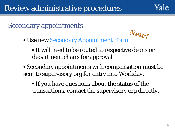## Secondary appointments

• Use new [Secondary Appointment Form](http://facultyadmin.yale.edu/sites/default/files/secondary_appointment_form_10-12-2016.pdf)

• It will need to be routed to respective deans or department chairs for approval

• Secondary appointments with compensation must be sent to supervisory org for entry into Workday.

• If you have questions about the status of the transactions, contact the supervisory org directly.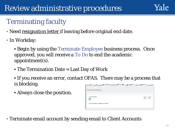# Review administrative procedures

# Terminating faculty

- Need resignation letter if leaving before original end date.
- In Workday:
	- Begin by using the Terminate Employee business process. Once approved, you will receive a To Do to end the academic appointment(s).
	- The Termination Date = Last Day of Work
	- If you receive an error, contact OFAS. There may be a process that is blocking.
	- Always close the position.

| <b>Position Details</b>                 |  |
|-----------------------------------------|--|
| <b>Close Position</b>                   |  |
|                                         |  |
| Is this position available for overlap? |  |

• Terminate email account by sending email to Client Accounts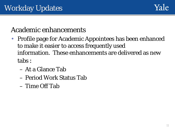

## Academic enhancements

- Profile page for Academic Appointees has been enhanced to make it easier to access frequently used information. These enhancements are delivered as new tabs :
	- At a Glance Tab
	- Period Work Status Tab
	- Time Off Tab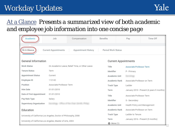# Workday Updates



#### At a Glance *Presents a summarized view of both academic and employee job information into one concise page*

| Academic                                                                                | Job        | Compensation | Benefits                    |                                   | Pay                               | Time Off                                  |  |
|-----------------------------------------------------------------------------------------|------------|--------------|-----------------------------|-----------------------------------|-----------------------------------|-------------------------------------------|--|
|                                                                                         |            |              |                             |                                   |                                   |                                           |  |
| At A Glance<br><b>Current Appointments</b><br>Period Work Status<br>Appointment History |            |              |                             |                                   |                                   |                                           |  |
| <b>General Information</b><br><b>Current Appointments</b>                               |            |              |                             |                                   |                                   |                                           |  |
| Work Status<br>On Academic Leave, Relief Time, or Other Leave                           |            |              |                             | Title<br>Associate Professor Term |                                   |                                           |  |
| <b>Tenure Status</b>                                                                    | Term       |              |                             | Identifier                        | P - Primary                       |                                           |  |
| <b>Appointment Status</b><br>Current                                                    |            |              | Academic Unit               |                                   |                                   |                                           |  |
| Employee ID<br>113145                                                                   |            |              | Academic Rank               |                                   | Associate Professor on Term       |                                           |  |
| Position<br>Associate Professor Term                                                    |            |              | Track Type                  | Ladder                            |                                   |                                           |  |
| <b>Hire Date</b>                                                                        | 01/01/2010 |              |                             | Term                              |                                   | January 2010 - Present (6 years 9 months) |  |
| Date of First Appointment<br>01/01/2010                                                 |            |              |                             | Title                             | Associate Professor Term          |                                           |  |
| Pay Rate Type<br>Salary                                                                 |            |              | Identifier<br>S - Secondary |                                   |                                   |                                           |  |
| Supervisory Organization                                                                |            |              | Academic Unit               | Health Policy and Management      |                                   |                                           |  |
| Education                                                                               |            |              |                             | Academic Rank                     | Associate Professor on Term       |                                           |  |
| University of California-Los Angeles, Doctor of Philosophy, 2008                        |            |              |                             | Track Type                        | Ladder to Tenure                  |                                           |  |
|                                                                                         |            |              |                             | Term                              | January 2016 - Present (9 months) |                                           |  |
| University of California-Los Angeles, Master of Arts, 2003                              |            |              |                             | OMore(1)                          |                                   |                                           |  |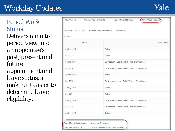# Workday Updates

Yale

Period Work Status *Delivers a multiperiod view into an appointee's past, present and future appointment and leave statuses making it easier to determine leave eligibility.*

| At A Glance<br><b>Current Appointments</b>                    | Period Work Status<br>Appointment History                           |  |  |  |
|---------------------------------------------------------------|---------------------------------------------------------------------|--|--|--|
| Hire Date<br>01/01/2010<br>16 items                           | <b>Earliest Appointment Date</b><br>01/01/2010                      |  |  |  |
| Period                                                        | <b>Work Status</b>                                                  |  |  |  |
| Spring 2018                                                   | Active                                                              |  |  |  |
| Fall 2017                                                     | Active                                                              |  |  |  |
| On Academic Leave, Relief Time, or Other Leave<br>Spring 2017 |                                                                     |  |  |  |
| Fall 2016                                                     | On Academic Leave, Relief Time, or Other Leave                      |  |  |  |
| Spring 2016                                                   | Active                                                              |  |  |  |
| Fall 2015                                                     | On Academic Leave, Relief Time, or Other Leave                      |  |  |  |
| Spring 2015                                                   | Active                                                              |  |  |  |
| Fall 2014                                                     | Active                                                              |  |  |  |
| Spring 2014                                                   | On Academic Leave, Relief Time, or Other Leave                      |  |  |  |
| Fall 2013                                                     | On Academic Leave, Relief Time, or Other Leave                      |  |  |  |
| Spring 2013                                                   | Active                                                              |  |  |  |
| Period Reporting Calendar<br>Work Status Rule Set             | <b>Academic Semesters</b><br>Active and Leave Work Status Indicator |  |  |  |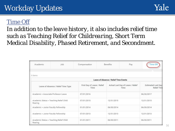## Yale

#### Time Off

*In addition to the leave history, it also includes relief time such as Teaching Relief for Childrearing, Short Term Medical Disability, Phased Retirement, and Secondment.*

| Academic                             | Job                                     | Compensation                        |  | Benefits<br>Pay                       |                                           | Time O                                          |
|--------------------------------------|-----------------------------------------|-------------------------------------|--|---------------------------------------|-------------------------------------------|-------------------------------------------------|
| 5 items                              |                                         |                                     |  |                                       |                                           |                                                 |
|                                      |                                         |                                     |  | Leave of Absence / Relief Time Events |                                           |                                                 |
|                                      | Leave of Absence / Relief Time Type     | First Day of Leave / Relief<br>Time |  |                                       | Actual Last Day of Leave / Relief<br>Time | <b>Estimated Last Day</b><br><b>Relief Time</b> |
| Academic > Associate Professor Leave |                                         | 07/01/2016                          |  |                                       |                                           | 06/30/2017                                      |
| Rearing                              | Academic Status > Teaching Relief Child | 07/01/2015                          |  | 12/31/2015                            |                                           | 12/31/2015                                      |
| Academic > Junior Faculty Fellowship |                                         | 01/01/2014                          |  |                                       |                                           | 06/30/2014                                      |
| Academic > Junior Faculty Fellowship |                                         | 07/01/2013                          |  | 12/31/2013                            |                                           | 12/31/2013                                      |
| Rearing                              | Academic Status > Teaching Relief Child | 01/01/2011                          |  | 06/30/2011                            |                                           | 06/30/2011                                      |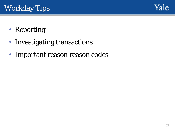

- Reporting
- Investigating transactions
- Important reason reason codes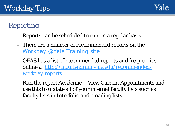

# Reporting

- Reports can be scheduled to run on a regular basis
- There are a number of recommended reports on the [Workday @Yale Training site](http://workday.training.yale.edu/)
- OFAS has a list of recommended reports and frequencies [online at http://facultyadmin.yale.edu/recommended](http://facultyadmin.yale.edu/recommended-workday-reports)workday-reports
- Run the report Academic View Current Appointments and use this to update all of your internal faculty lists such as faculty lists in Interfolio and emailing lists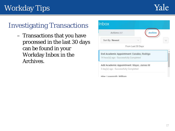# Workday Tips



## Investigating Transactions

– Transactions that you have processed in the last 30 days can be found in your Workday Inbox in the Archives.

| Actions 257                                                                           | <b>Archive</b>    |  |
|---------------------------------------------------------------------------------------|-------------------|--|
| Sort By: Newest                                                                       |                   |  |
|                                                                                       | From Last 30 Days |  |
| End Academic Appointment: Camalan, Rudrigu<br>14 hour(s) ago - Successfully Completed |                   |  |
| Add Academic Appointment: Mayon, January M.                                           |                   |  |
|                                                                                       |                   |  |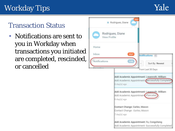# Workday Tips

# Transaction Status

• Notifications are sent to you in Workday when transactions you initiated are completed, rescinded, or cancelled

|               | Rodrigues, Diane                                                                                                 |
|---------------|------------------------------------------------------------------------------------------------------------------|
|               | Rodrigues, Diane<br>View Profile                                                                                 |
| Home          |                                                                                                                  |
| Inbox         | 257<br>Notifications 42                                                                                          |
| Notifications | 149<br>Sort By: Newest                                                                                           |
|               | From Last 30 Days                                                                                                |
|               | Add Academic Appointment: Laummath, Milliam<br>Add Academic Appointment-Successfully Completed<br>6 day(s) ago   |
|               | Add Academic Appointment: Laurencette, Milliams<br>Add Academic Appointment - Canceled<br>$6 \text{ day}(s)$ ago |
|               | Contact Change: Earlins, Manum<br>Contact Change Earlins, Mission<br>7 day(s) ago                                |
|               | Add Academic Appointment: Fig. Compulsoring<br>Add Academic Appointment- Successfully Completed                  |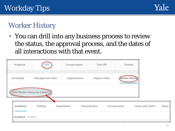

# Worker History

• You can drill into any business process to review the status, the approval process, and the dates of all interactions with that event.

| Academic          | Job                             | Compensation  | Time Off      | Contact                           |     |
|-------------------|---------------------------------|---------------|---------------|-----------------------------------|-----|
| Job Details       | Management Chain                | Organizations | Support Roles | <b>Worker History</b>             |     |
|                   | View Worker History by Category |               |               |                                   |     |
| Academic          | Staffing                        | Organization  | Personal Data | Career and Talent<br>Compensation | Mor |
| Academic 16 items |                                 |               |               |                                   |     |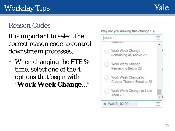## Reason Codes

It is important to select the correct reason code to control downstream processes.

When changing the FTE % time, select one of the 4 options that begin with "**Work Week Change**…"

**ILITOTOL** Work Week Change Remaining At/Above 20 Work Week Change Remaining Below 20 Work Week Change to Greater Than or Equal to 20 Work Week Change to Less

Why are you making this change?  $\star$ 

search

Than 20

X Wall St, 82-90

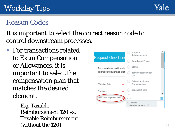

# Reason Codes

It is important to select the correct reason code to control downstream processes.

- For transactions related to Extra Compensation or Allowances, it is important to select the compensation plan that matches the desired element.
	- E.g. Taxable Reimbursement 120 vs. Taxable Reimbursement (without the  $120$ ) 21

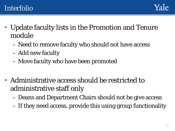- Update faculty lists in the Promotion and Tenure module
	- Need to remove faculty who should not have access
	- Add new faculty
	- Move faculty who have been promoted
- Administrative access should be restricted to administrative staff only
	- Deans and Department Chairs should not be give access
	- If they need access, provide this using group functionality